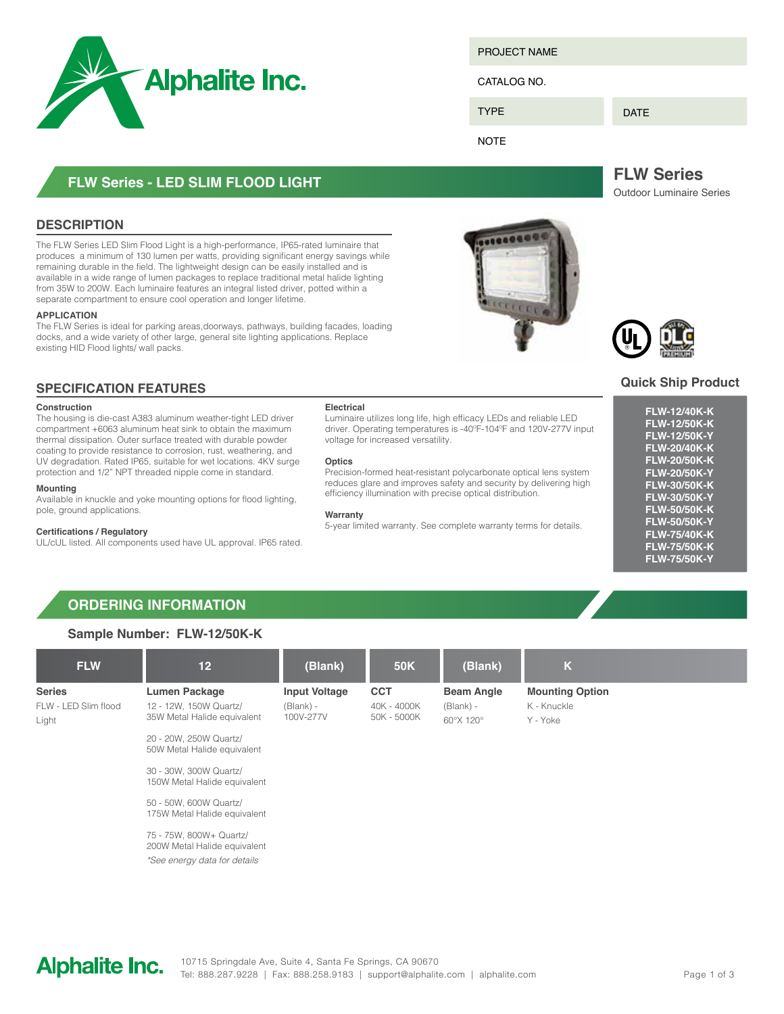

**FLW Series - LED slim Flood Light**

The FLW Series LED Slim Flood Light is a high-performance, IP65-rated luminaire that produces a minimum of 130 lumen per watts, providing significant energy savings while remaining durable in the field. The lightweight design can be easily installed and is available in a wide range of lumen packages to replace traditional metal halide lighting from 35W to 200W. Each luminaire features an integral listed driver, potted within a

The FLW Series is ideal for parking areas,doorways, pathways, building facades, loading docks, and a wide variety of other large, general site lighting applications. Replace

Project Name

CATALOG NO.

**TYPE** 

DATE

**NOTE** 

**FLW Series** Outdoor Luminaire Series

### **Quick Ship Product**

| <b>FLW-12/40K-K</b> |
|---------------------|
| <b>FLW-12/50K-K</b> |
| <b>FLW-12/50K-Y</b> |
| <b>FLW-20/40K-K</b> |
| <b>FLW-20/50K-K</b> |
| <b>FLW-20/50K-Y</b> |
| <b>FLW-30/50K-K</b> |
| <b>FLW-30/50K-Y</b> |
| <b>FLW-50/50K-K</b> |
| <b>FLW-50/50K-Y</b> |
| <b>FLW-75/40K-K</b> |
| <b>FLW-75/50K-K</b> |
| <b>FLW-75/50K-Y</b> |
|                     |

# existing HID Flood lights/ wall packs.

#### **SPECIFICATION FEATURES**

#### **Construction**

**APPLICATION**

**Description**

The housing is die-cast A383 aluminum weather-tight LED driver compartment +6063 aluminum heat sink to obtain the maximum thermal dissipation. Outer surface treated with durable powder coating to provide resistance to corrosion, rust, weathering, and UV degradation. Rated IP65, suitable for wet locations. 4KV surge protection and 1/2" NPT threaded nipple come in standard.

separate compartment to ensure cool operation and longer lifetime.

#### **Mounting**

Available in knuckle and yoke mounting options for flood lighting, pole, ground applications.

#### **Certifications / Regulatory**

UL/cUL listed. All components used have UL approval. IP65 rated.

#### **Electrical**

Luminaire utilizes long life, high efficacy LEDs and reliable LED driver. Operating temperatures is -40ºF-104ºF and 120V-277V input voltage for increased versatility.

#### **Optics**

Precision-formed heat-resistant polycarbonate optical lens system reduces glare and improves safety and security by delivering high efficiency illumination with precise optical distribution.

#### **Warranty**

5-year limited warranty. See complete warranty terms for details.

# **Ordering Information**

#### **Sample Number: FLW-12/50K-K**

| <b>FLW</b>                                     | 12 <sub>2</sub>                                                               | (Blank)                                        | <b>50K</b>                               | (Blank)                                       | $\mathsf{K}$                                      |  |
|------------------------------------------------|-------------------------------------------------------------------------------|------------------------------------------------|------------------------------------------|-----------------------------------------------|---------------------------------------------------|--|
| <b>Series</b><br>FLW - LED Slim flood<br>Light | <b>Lumen Package</b><br>12 - 12W, 150W Quartz/<br>35W Metal Halide equivalent | <b>Input Voltage</b><br>(Blank) -<br>100V-277V | <b>CCT</b><br>40K - 4000K<br>50K - 5000K | <b>Beam Angle</b><br>$(Blank) -$<br>60°X 120° | <b>Mounting Option</b><br>K - Knuckle<br>Y - Yoke |  |
|                                                | 20 - 20W, 250W Quartz/<br>50W Metal Halide equivalent                         |                                                |                                          |                                               |                                                   |  |
|                                                | 30 - 30W, 300W Quartz/<br>150W Metal Halide equivalent                        |                                                |                                          |                                               |                                                   |  |
|                                                | 50 - 50W, 600W Quartz/<br>175W Metal Halide equivalent                        |                                                |                                          |                                               |                                                   |  |
|                                                | 75 - 75W, 800W+ Quartz/<br>$\bigcap_{i=1}^{n}$                                |                                                |                                          |                                               |                                                   |  |

200W Metal Halide equivalent *\*See energy data for details*

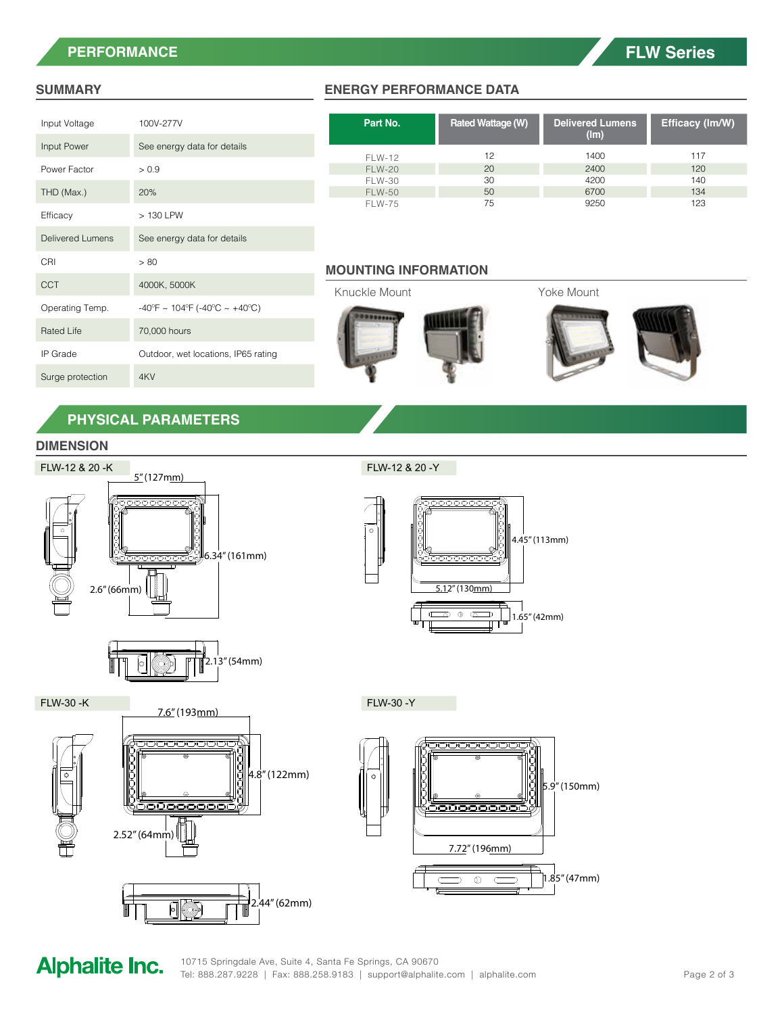# **Performance**

# **FLW Series**

#### **Summary**

| Input Voltage           | 100V-277V                                                          |  |  |
|-------------------------|--------------------------------------------------------------------|--|--|
| Input Power             | See energy data for details                                        |  |  |
| Power Factor            | > 0.9                                                              |  |  |
| THD (Max.)              | 20%                                                                |  |  |
| Efficacy                | > 130 LPW                                                          |  |  |
| <b>Delivered Lumens</b> | See energy data for details                                        |  |  |
| CRI                     | > 80                                                               |  |  |
| CCT                     | 4000K, 5000K                                                       |  |  |
|                         |                                                                    |  |  |
| Operating Temp.         | $-40^{\circ}F \sim 104^{\circ}F ( -40^{\circ}C \sim +40^{\circ}C)$ |  |  |
| Rated Life              | 70,000 hours                                                       |  |  |
| IP Grade                | Outdoor, wet locations, IP65 rating                                |  |  |
| Surge protection        | 4KV                                                                |  |  |

#### **Energy Performance Data**

| Part No.      | <b>Rated Wattage (W)</b> | <b>Delivered Lumens</b><br>(lm) | Efficacy (Im/W) |
|---------------|--------------------------|---------------------------------|-----------------|
| FLW-12        | 12                       | 1400                            | 117             |
| <b>FLW-20</b> | 20                       | 2400                            | 120             |
| <b>FLW-30</b> | 30                       | 4200                            | 140             |
| <b>FLW-50</b> | 50                       | 6700                            | 134             |
| <b>FLW-75</b> | 75                       | 9250                            | 123             |

#### **Mounting Information**



# **Physical parameters**

### **DIMENSION**





FLW-12 & 20 -Y



FLW-30 -K